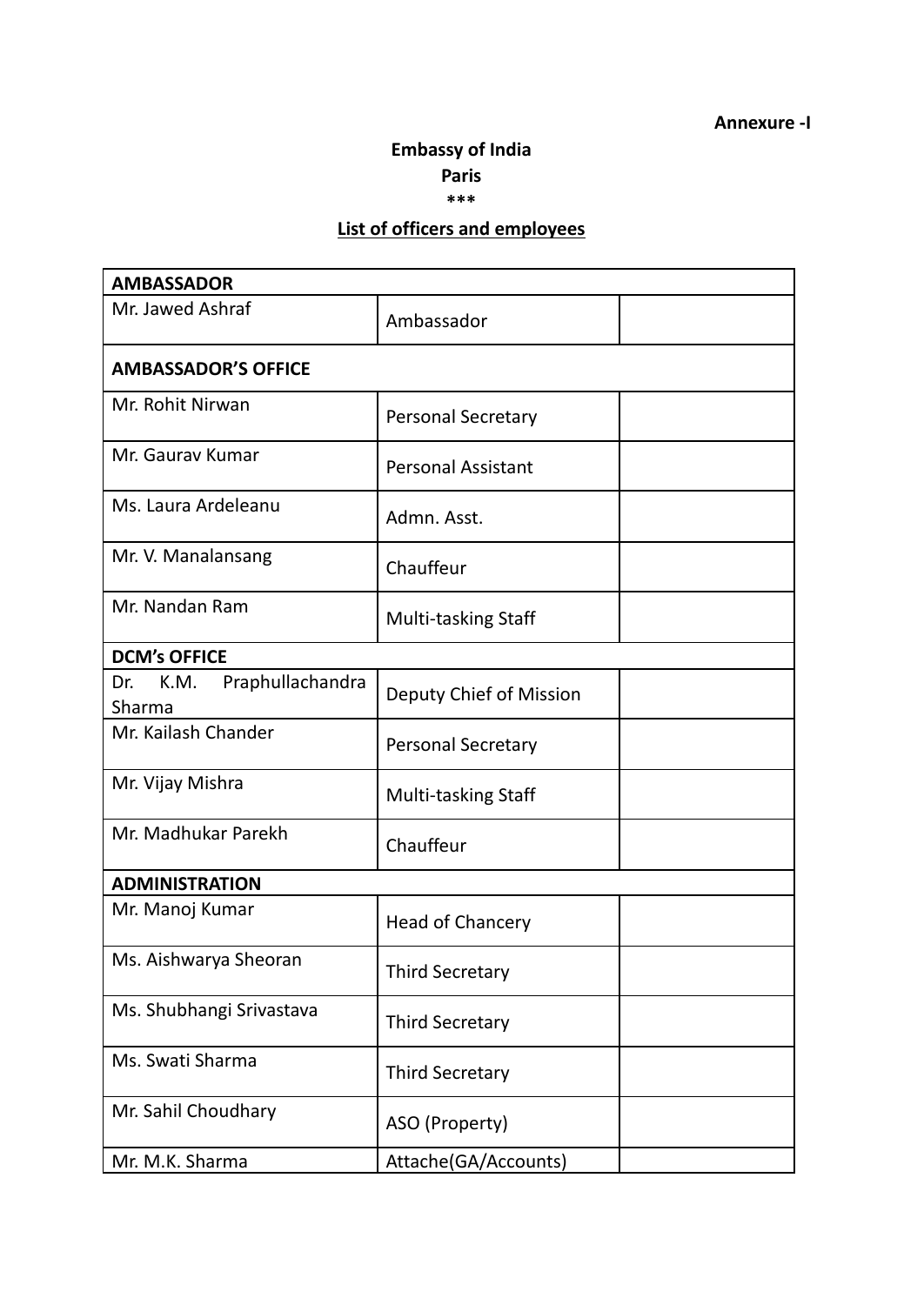## **Annexure -I**

## **Embassy of India**

**Paris**

**\*\*\***

## **List of officers and employees**

| <b>AMBASSADOR</b>                         |                            |  |
|-------------------------------------------|----------------------------|--|
| Mr. Jawed Ashraf                          | Ambassador                 |  |
| <b>AMBASSADOR'S OFFICE</b>                |                            |  |
| Mr. Rohit Nirwan                          | <b>Personal Secretary</b>  |  |
| Mr. Gauray Kumar                          | <b>Personal Assistant</b>  |  |
| Ms. Laura Ardeleanu                       | Admn. Asst.                |  |
| Mr. V. Manalansang                        | Chauffeur                  |  |
| Mr. Nandan Ram                            | <b>Multi-tasking Staff</b> |  |
| <b>DCM's OFFICE</b>                       |                            |  |
| Praphullachandra<br>Dr.<br>K.M.<br>Sharma | Deputy Chief of Mission    |  |
| Mr. Kailash Chander                       | Personal Secretary         |  |
| Mr. Vijay Mishra                          | <b>Multi-tasking Staff</b> |  |
| Mr. Madhukar Parekh                       | Chauffeur                  |  |
| <b>ADMINISTRATION</b>                     |                            |  |
| Mr. Manoj Kumar                           | <b>Head of Chancery</b>    |  |
| Ms. Aishwarya Sheoran                     | <b>Third Secretary</b>     |  |
| Ms. Shubhangi Srivastava                  | <b>Third Secretary</b>     |  |
| Ms. Swati Sharma                          | <b>Third Secretary</b>     |  |
| Mr. Sahil Choudhary                       | ASO (Property)             |  |
| Mr. M.K. Sharma                           | Attache(GA/Accounts)       |  |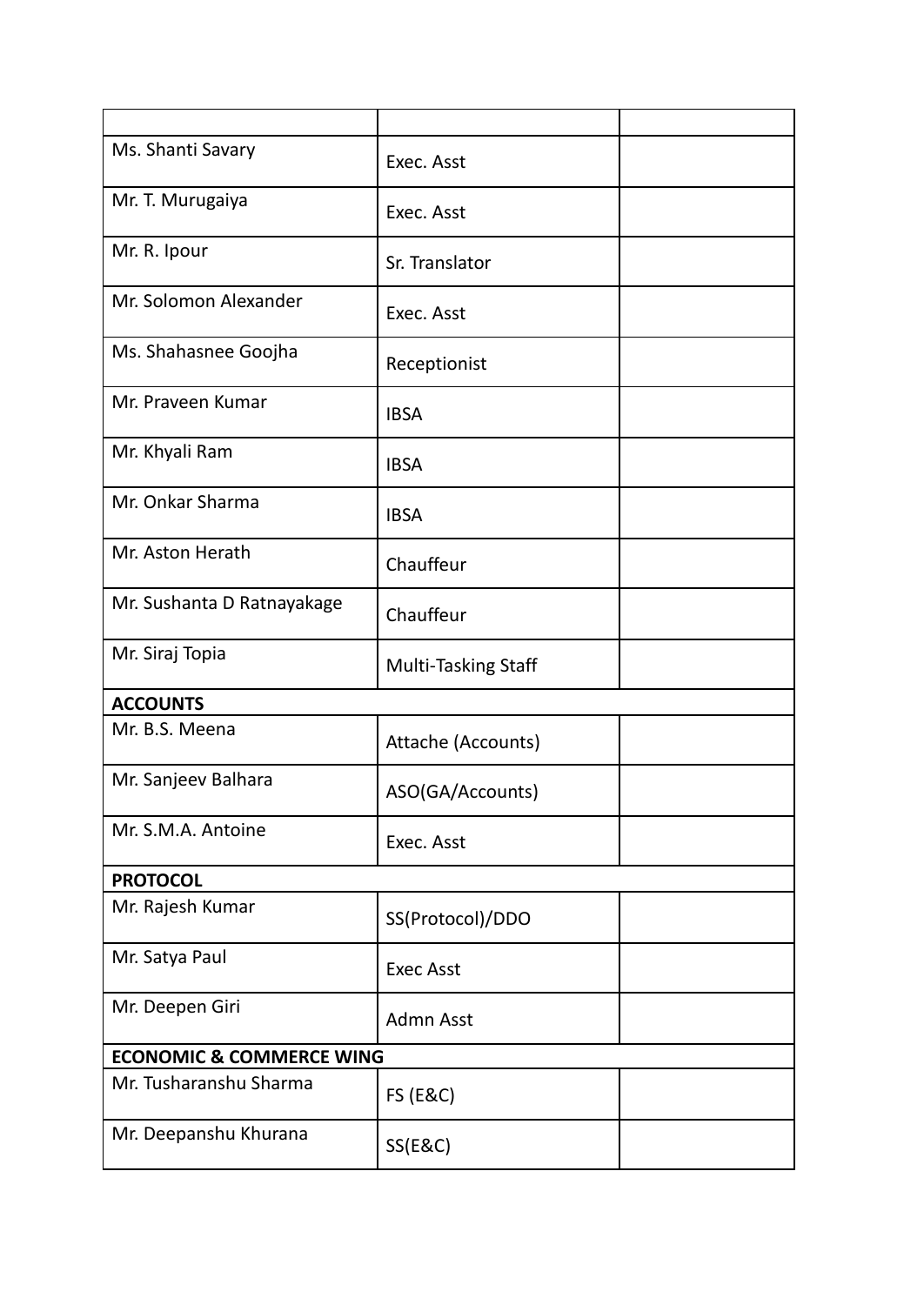| Ms. Shanti Savary                   | Exec. Asst                 |  |
|-------------------------------------|----------------------------|--|
| Mr. T. Murugaiya                    | Exec. Asst                 |  |
| Mr. R. Ipour                        | Sr. Translator             |  |
| Mr. Solomon Alexander               | Exec. Asst                 |  |
| Ms. Shahasnee Goojha                | Receptionist               |  |
| Mr. Praveen Kumar                   | <b>IBSA</b>                |  |
| Mr. Khyali Ram                      | <b>IBSA</b>                |  |
| Mr. Onkar Sharma                    | <b>IBSA</b>                |  |
| Mr. Aston Herath                    | Chauffeur                  |  |
| Mr. Sushanta D Ratnayakage          | Chauffeur                  |  |
| Mr. Siraj Topia                     | <b>Multi-Tasking Staff</b> |  |
| <b>ACCOUNTS</b>                     |                            |  |
| Mr. B.S. Meena                      | Attache (Accounts)         |  |
| Mr. Sanjeev Balhara                 | ASO(GA/Accounts)           |  |
| Mr. S.M.A. Antoine                  | Exec. Asst                 |  |
| <b>PROTOCOL</b>                     |                            |  |
| Mr. Rajesh Kumar                    | SS(Protocol)/DDO           |  |
| Mr. Satya Paul                      | <b>Exec Asst</b>           |  |
| Mr. Deepen Giri                     | Admn Asst                  |  |
| <b>ECONOMIC &amp; COMMERCE WING</b> |                            |  |
| Mr. Tusharanshu Sharma              | <b>FS (E&amp;C)</b>        |  |
| Mr. Deepanshu Khurana               | <b>SS(E&amp;C)</b>         |  |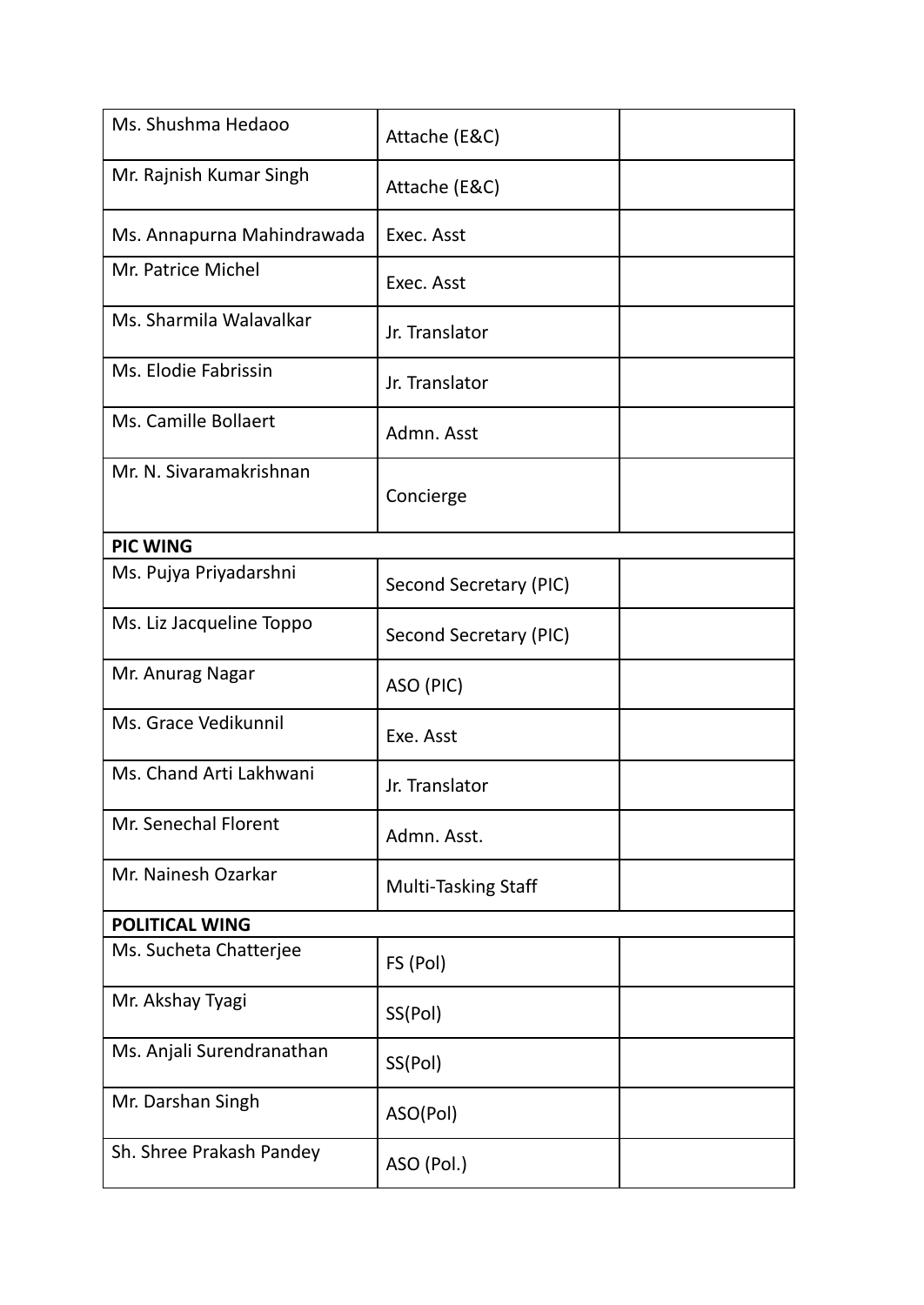| Ms. Shushma Hedaoo         | Attache (E&C)              |  |
|----------------------------|----------------------------|--|
| Mr. Rajnish Kumar Singh    | Attache (E&C)              |  |
| Ms. Annapurna Mahindrawada | Exec. Asst                 |  |
| Mr. Patrice Michel         | Exec. Asst                 |  |
| Ms. Sharmila Walavalkar    | Jr. Translator             |  |
| Ms. Elodie Fabrissin       | Jr. Translator             |  |
| Ms. Camille Bollaert       | Admn. Asst                 |  |
| Mr. N. Sivaramakrishnan    | Concierge                  |  |
| <b>PIC WING</b>            |                            |  |
| Ms. Pujya Priyadarshni     | Second Secretary (PIC)     |  |
| Ms. Liz Jacqueline Toppo   | Second Secretary (PIC)     |  |
| Mr. Anurag Nagar           | ASO (PIC)                  |  |
| Ms. Grace Vedikunnil       | Exe. Asst                  |  |
| Ms. Chand Arti Lakhwani    | Jr. Translator             |  |
| Mr. Senechal Florent       | Admn. Asst.                |  |
| Mr. Nainesh Ozarkar        | <b>Multi-Tasking Staff</b> |  |
| <b>POLITICAL WING</b>      |                            |  |
| Ms. Sucheta Chatterjee     | FS (Pol)                   |  |
| Mr. Akshay Tyagi           | SS(Pol)                    |  |
| Ms. Anjali Surendranathan  | SS(Pol)                    |  |
| Mr. Darshan Singh          | ASO(Pol)                   |  |
| Sh. Shree Prakash Pandey   | ASO (Pol.)                 |  |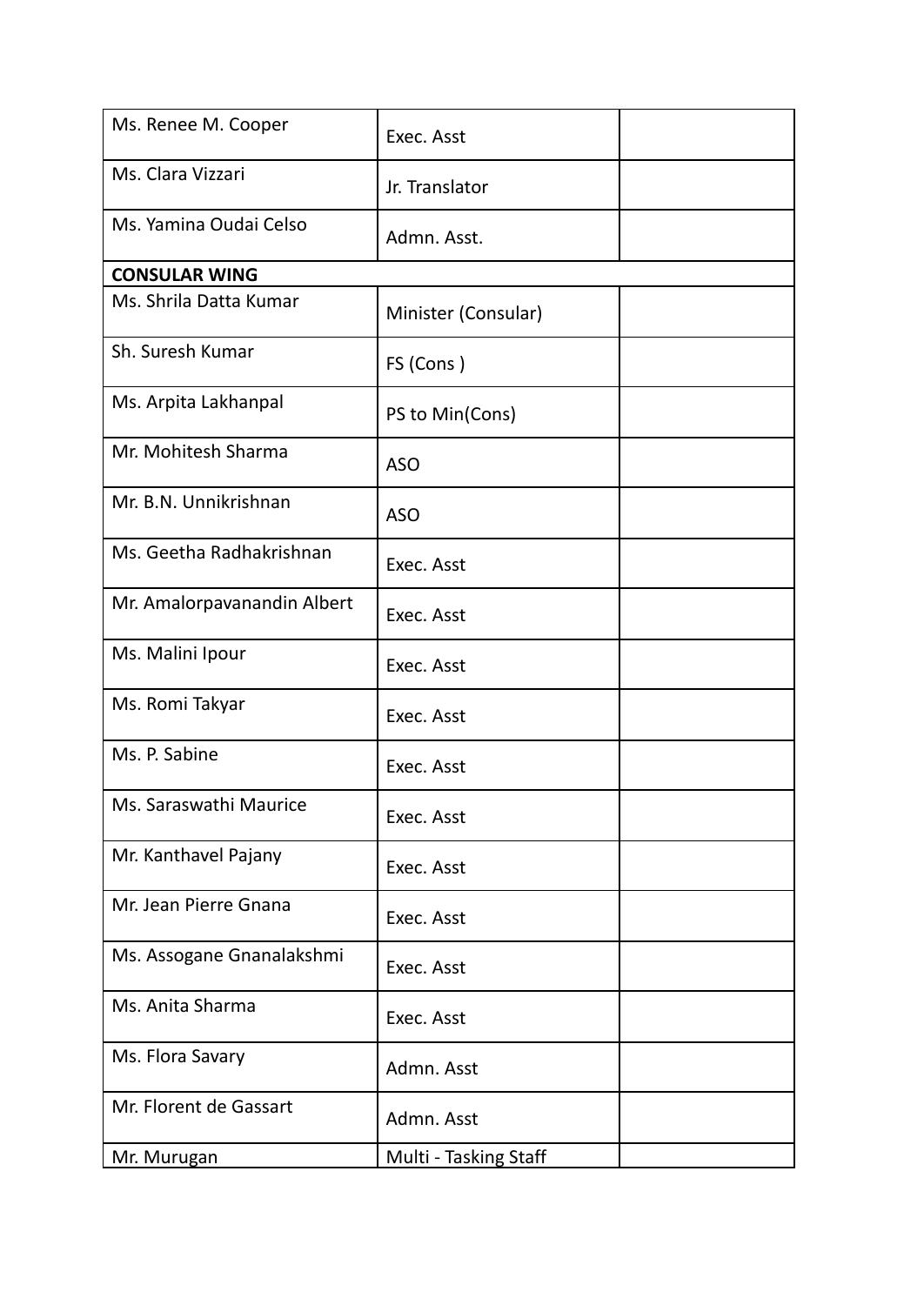| Ms. Renee M. Cooper         | Exec. Asst            |  |
|-----------------------------|-----------------------|--|
| Ms. Clara Vizzari           | Jr. Translator        |  |
| Ms. Yamina Oudai Celso      | Admn. Asst.           |  |
| <b>CONSULAR WING</b>        |                       |  |
| Ms. Shrila Datta Kumar      | Minister (Consular)   |  |
| Sh. Suresh Kumar            | FS (Cons)             |  |
| Ms. Arpita Lakhanpal        | PS to Min(Cons)       |  |
| Mr. Mohitesh Sharma         | <b>ASO</b>            |  |
| Mr. B.N. Unnikrishnan       | <b>ASO</b>            |  |
| Ms. Geetha Radhakrishnan    | Exec. Asst            |  |
| Mr. Amalorpavanandin Albert | Exec. Asst            |  |
| Ms. Malini Ipour            | Exec. Asst            |  |
| Ms. Romi Takyar             | Exec. Asst            |  |
| Ms. P. Sabine               | Exec. Asst            |  |
| Ms. Saraswathi Maurice      | Exec. Asst            |  |
| Mr. Kanthavel Pajany        | Exec. Asst            |  |
| Mr. Jean Pierre Gnana       | Exec. Asst            |  |
| Ms. Assogane Gnanalakshmi   | Exec. Asst            |  |
| Ms. Anita Sharma            | Exec. Asst            |  |
| Ms. Flora Savary            | Admn. Asst            |  |
| Mr. Florent de Gassart      | Admn. Asst            |  |
| Mr. Murugan                 | Multi - Tasking Staff |  |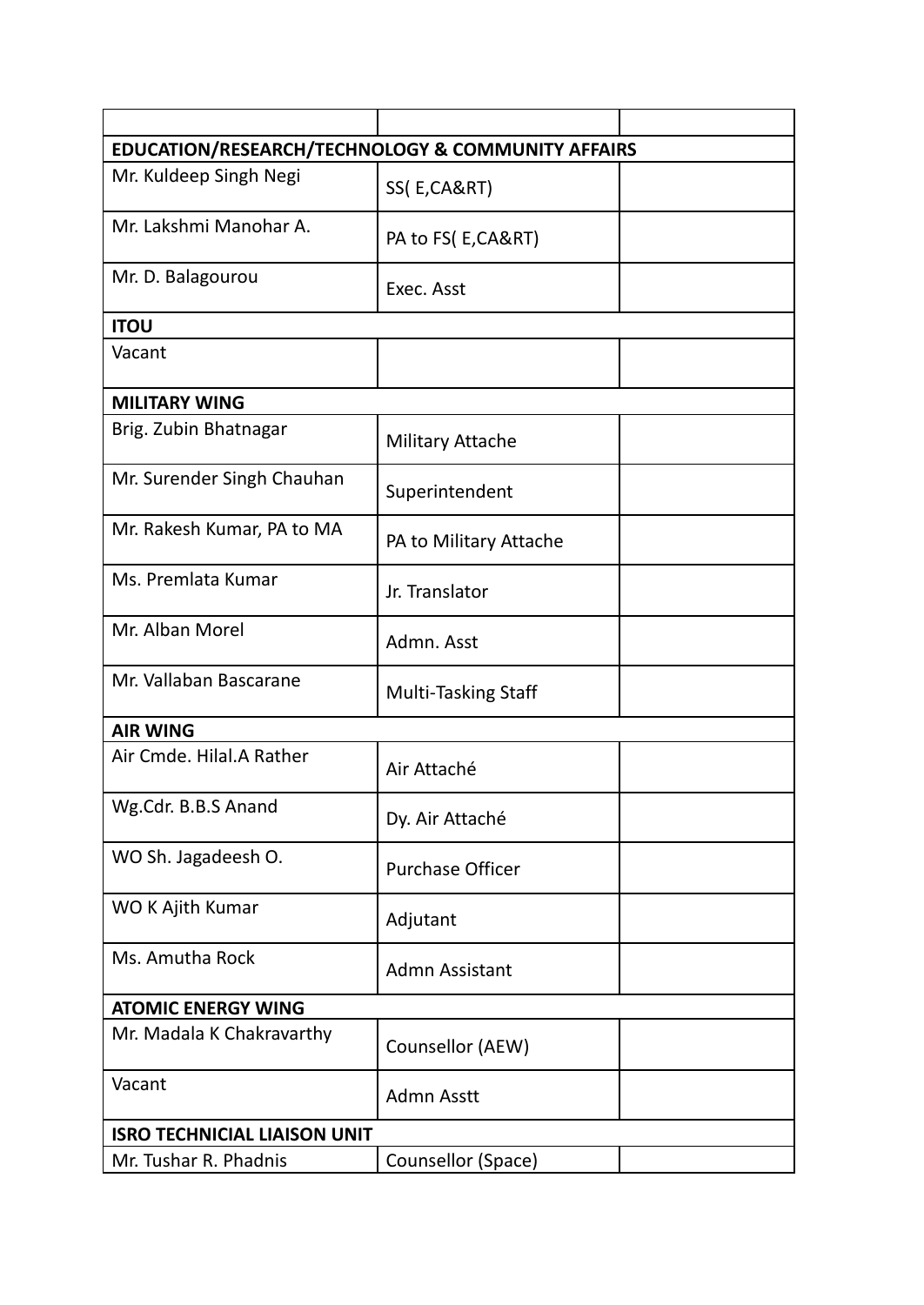| EDUCATION/RESEARCH/TECHNOLOGY & COMMUNITY AFFAIRS |                            |  |
|---------------------------------------------------|----------------------------|--|
| Mr. Kuldeep Singh Negi                            | SS(E,CA&RT)                |  |
| Mr. Lakshmi Manohar A.                            | PA to FS(E,CA&RT)          |  |
| Mr. D. Balagourou                                 | Exec. Asst                 |  |
| <b>ITOU</b>                                       |                            |  |
| Vacant                                            |                            |  |
| <b>MILITARY WING</b>                              |                            |  |
| Brig. Zubin Bhatnagar                             | <b>Military Attache</b>    |  |
| Mr. Surender Singh Chauhan                        | Superintendent             |  |
| Mr. Rakesh Kumar, PA to MA                        | PA to Military Attache     |  |
| Ms. Premlata Kumar                                | Jr. Translator             |  |
| Mr. Alban Morel                                   | Admn. Asst                 |  |
| Mr. Vallaban Bascarane                            | <b>Multi-Tasking Staff</b> |  |
| <b>AIR WING</b>                                   |                            |  |
| Air Cmde. Hilal.A Rather                          | Air Attaché                |  |
| Wg.Cdr. B.B.S Anand                               | Dy. Air Attaché            |  |
| WO Sh. Jagadeesh O.                               | <b>Purchase Officer</b>    |  |
| WO K Ajith Kumar                                  | Adjutant                   |  |
| Ms. Amutha Rock                                   | <b>Admn Assistant</b>      |  |
| <b>ATOMIC ENERGY WING</b>                         |                            |  |
| Mr. Madala K Chakravarthy                         | Counsellor (AEW)           |  |
| Vacant                                            | Admn Asstt                 |  |
| <b>ISRO TECHNICIAL LIAISON UNIT</b>               |                            |  |
| Mr. Tushar R. Phadnis                             | Counsellor (Space)         |  |